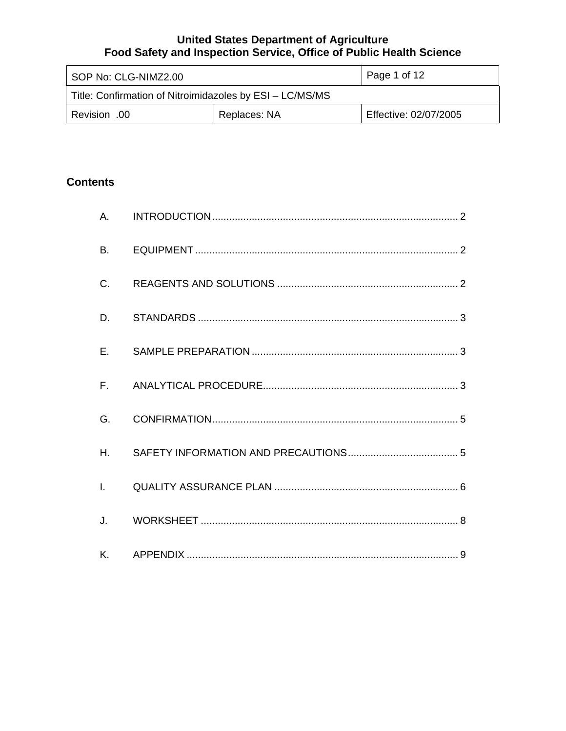| Page 1 of 12<br>SOP No: CLG-NIMZ2.00                     |              |                       |  |  |  |
|----------------------------------------------------------|--------------|-----------------------|--|--|--|
| Title: Confirmation of Nitroimidazoles by ESI - LC/MS/MS |              |                       |  |  |  |
| 00. Revision                                             | Replaces: NA | Effective: 02/07/2005 |  |  |  |

# **Contents**

| <b>B.</b>    |  |
|--------------|--|
| $C_{\cdot}$  |  |
| D.           |  |
| $E_{\rm{r}}$ |  |
|              |  |
| G.           |  |
| $H_{\cdot}$  |  |
|              |  |
| $J_{\cdot}$  |  |
|              |  |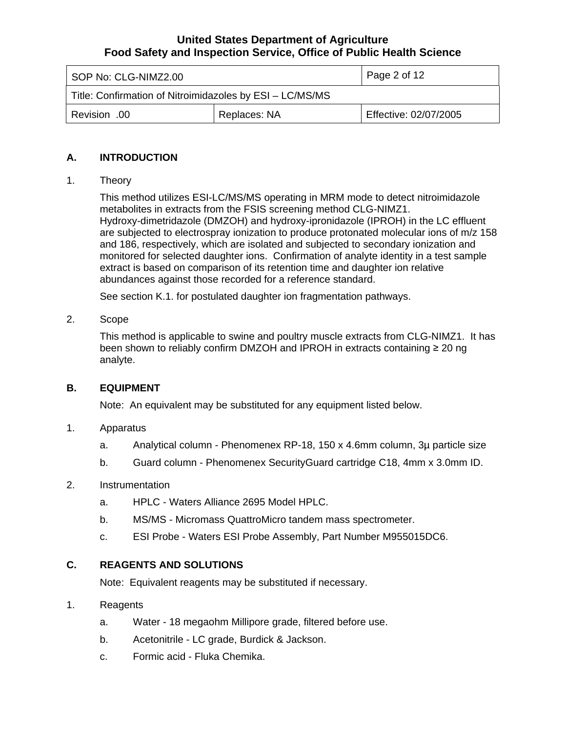<span id="page-1-0"></span>

| Page 2 of 12<br>SOP No: CLG-NIMZ2.00                     |              |                       |  |
|----------------------------------------------------------|--------------|-----------------------|--|
| Title: Confirmation of Nitroimidazoles by ESI - LC/MS/MS |              |                       |  |
| 00. Revision                                             | Replaces: NA | Effective: 02/07/2005 |  |

## **A. INTRODUCTION**

#### 1. Theory

This method utilizes ESI-LC/MS/MS operating in MRM mode to detect nitroimidazole metabolites in extracts from the FSIS screening method CLG-NIMZ1. Hydroxy-dimetridazole (DMZOH) and hydroxy-ipronidazole (IPROH) in the LC effluent are subjected to electrospray ionization to produce protonated molecular ions of m/z 158 and 186, respectively, which are isolated and subjected to secondary ionization and monitored for selected daughter ions. Confirmation of analyte identity in a test sample extract is based on comparison of its retention time and daughter ion relative abundances against those recorded for a reference standard.

See section K.1. for postulated daughter ion fragmentation pathways.

#### 2. Scope

This method is applicable to swine and poultry muscle extracts from CLG-NIMZ1. It has been shown to reliably confirm DMZOH and IPROH in extracts containing ≥ 20 ng analyte.

#### **B. EQUIPMENT**

Note: An equivalent may be substituted for any equipment listed below.

#### 1. Apparatus

- a. Analytical column Phenomenex RP-18, 150 x 4.6mm column, 3µ particle size
- b. Guard column Phenomenex SecurityGuard cartridge C18, 4mm x 3.0mm ID.

#### 2. Instrumentation

- a. HPLC Waters Alliance 2695 Model HPLC.
- b. MS/MS Micromass QuattroMicro tandem mass spectrometer.
- c. ESI Probe Waters ESI Probe Assembly, Part Number M955015DC6.

## **C. REAGENTS AND SOLUTIONS**

Note: Equivalent reagents may be substituted if necessary.

#### 1. Reagents

- a. Water 18 megaohm Millipore grade, filtered before use.
- b. Acetonitrile LC grade, Burdick & Jackson.
- c. Formic acid Fluka Chemika.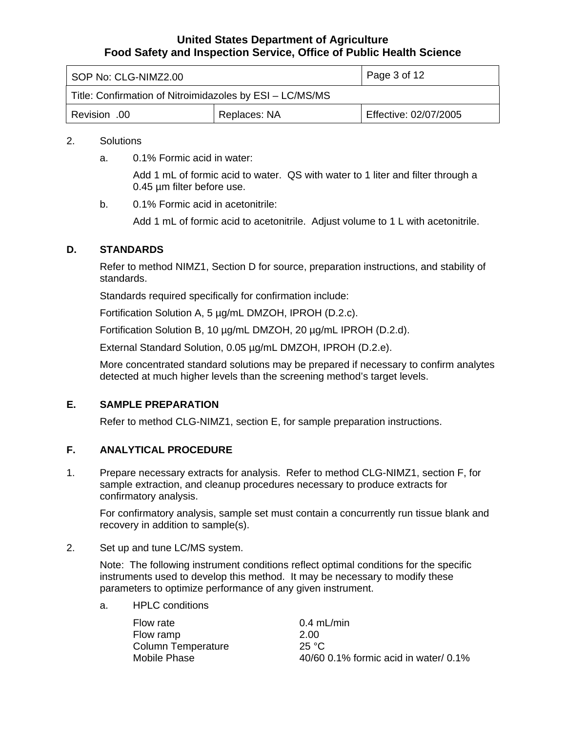<span id="page-2-0"></span>

| SOP No: CLG-NIMZ2.00                                     | Page 3 of 12                          |  |  |  |  |
|----------------------------------------------------------|---------------------------------------|--|--|--|--|
| Title: Confirmation of Nitroimidazoles by ESI - LC/MS/MS |                                       |  |  |  |  |
| Revision .00                                             | Effective: 02/07/2005<br>Replaces: NA |  |  |  |  |

#### 2. Solutions

a. 0.1% Formic acid in water:

Add 1 mL of formic acid to water. QS with water to 1 liter and filter through a 0.45 µm filter before use.

b. 0.1% Formic acid in acetonitrile:

Add 1 mL of formic acid to acetonitrile. Adjust volume to 1 L with acetonitrile.

#### **D. STANDARDS**

Refer to method NIMZ1, Section D for source, preparation instructions, and stability of standards.

Standards required specifically for confirmation include:

Fortification Solution A, 5 µg/mL DMZOH, IPROH (D.2.c).

Fortification Solution B, 10 µg/mL DMZOH, 20 µg/mL IPROH (D.2.d).

External Standard Solution, 0.05 µg/mL DMZOH, IPROH (D.2.e).

More concentrated standard solutions may be prepared if necessary to confirm analytes detected at much higher levels than the screening method's target levels.

#### **E. SAMPLE PREPARATION**

Refer to method CLG-NIMZ1, section E, for sample preparation instructions.

#### **F. ANALYTICAL PROCEDURE**

1. Prepare necessary extracts for analysis. Refer to method CLG-NIMZ1, section F, for sample extraction, and cleanup procedures necessary to produce extracts for confirmatory analysis.

For confirmatory analysis, sample set must contain a concurrently run tissue blank and recovery in addition to sample(s).

#### 2. Set up and tune LC/MS system.

Note: The following instrument conditions reflect optimal conditions for the specific instruments used to develop this method. It may be necessary to modify these parameters to optimize performance of any given instrument.

a. HPLC conditions

Flow rate 0.4 mL/min Flow ramp 2.00 Column Temperature 25 °C<br>Mobile Phase 20/60

 $40/60$  0.1% formic acid in water/ 0.1%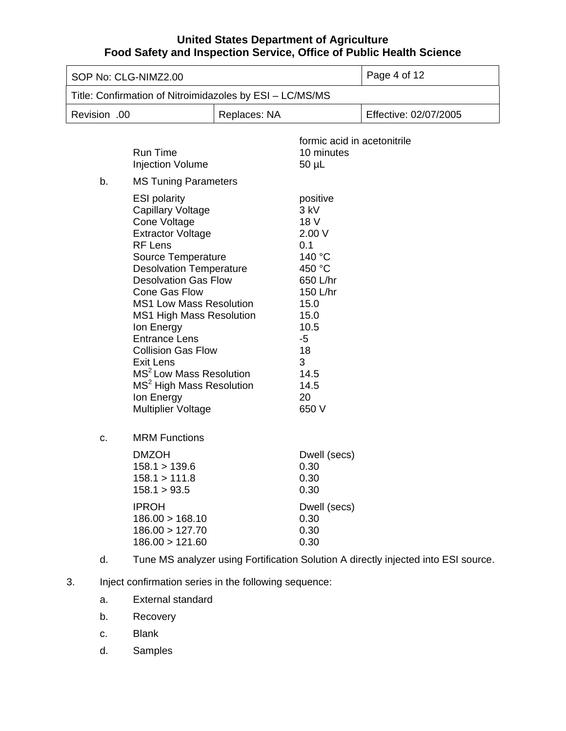| SOP No: CLG-NIMZ2.00 |                                                                                                                                                                                                                                                                                                                                                                                                                                                                                                                                                   |              |                                                                                                                                                                   | Page 4 of 12                                                                       |
|----------------------|---------------------------------------------------------------------------------------------------------------------------------------------------------------------------------------------------------------------------------------------------------------------------------------------------------------------------------------------------------------------------------------------------------------------------------------------------------------------------------------------------------------------------------------------------|--------------|-------------------------------------------------------------------------------------------------------------------------------------------------------------------|------------------------------------------------------------------------------------|
|                      | Title: Confirmation of Nitroimidazoles by ESI - LC/MS/MS                                                                                                                                                                                                                                                                                                                                                                                                                                                                                          |              |                                                                                                                                                                   |                                                                                    |
| Revision .00         |                                                                                                                                                                                                                                                                                                                                                                                                                                                                                                                                                   | Replaces: NA |                                                                                                                                                                   | Effective: 02/07/2005                                                              |
|                      | <b>Run Time</b><br><b>Injection Volume</b>                                                                                                                                                                                                                                                                                                                                                                                                                                                                                                        |              | formic acid in acetonitrile<br>10 minutes<br>$50 \mu L$                                                                                                           |                                                                                    |
| b.                   | <b>MS Tuning Parameters</b><br><b>ESI polarity</b><br><b>Capillary Voltage</b><br>Cone Voltage<br><b>Extractor Voltage</b><br><b>RF Lens</b><br>Source Temperature<br><b>Desolvation Temperature</b><br><b>Desolvation Gas Flow</b><br><b>Cone Gas Flow</b><br><b>MS1 Low Mass Resolution</b><br><b>MS1 High Mass Resolution</b><br>Ion Energy<br><b>Entrance Lens</b><br><b>Collision Gas Flow</b><br><b>Exit Lens</b><br>MS <sup>2</sup> Low Mass Resolution<br>MS <sup>2</sup> High Mass Resolution<br>Ion Energy<br><b>Multiplier Voltage</b> |              | positive<br>$3$ kV<br>18 V<br>2.00 V<br>0.1<br>140 °C<br>450 °C<br>650 L/hr<br>150 L/hr<br>15.0<br>15.0<br>10.5<br>$-5$<br>18<br>3<br>14.5<br>14.5<br>20<br>650 V |                                                                                    |
| C.                   | <b>MRM Functions</b><br><b>DMZOH</b><br>158.1 > 139.6<br>158.1 > 111.8<br>158.1 > 93.5<br><b>IPROH</b><br>186.00 > 168.10<br>186.00 > 127.70<br>186.00 > 121.60                                                                                                                                                                                                                                                                                                                                                                                   |              | Dwell (secs)<br>0.30<br>0.30<br>0.30<br>Dwell (secs)<br>0.30<br>0.30<br>0.30                                                                                      |                                                                                    |
| d.                   |                                                                                                                                                                                                                                                                                                                                                                                                                                                                                                                                                   |              |                                                                                                                                                                   | Tune MS analyzer using Fortification Solution A directly injected into ESI source. |

- 3. Inject confirmation series in the following sequence:
	- a. External standard
	- b. Recovery
	- c. Blank
	- d. Samples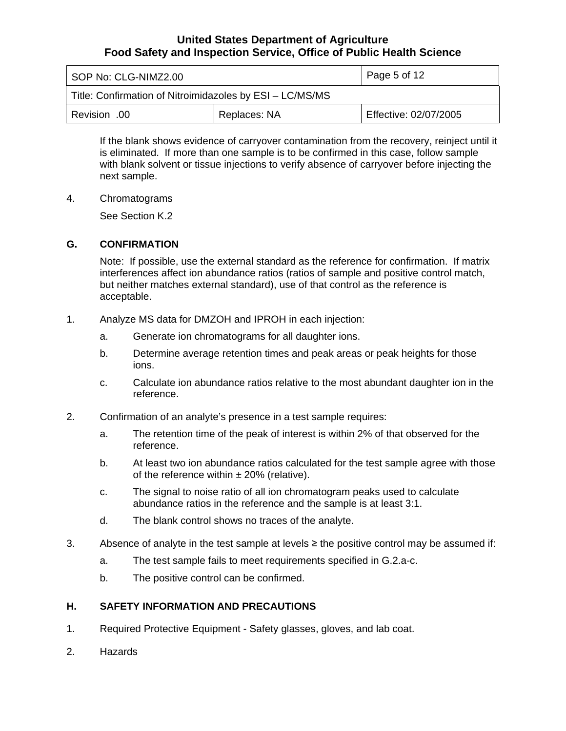<span id="page-4-0"></span>

| SOP No: CLG-NIMZ2.00                                     | Page 5 of 12                          |  |  |  |  |
|----------------------------------------------------------|---------------------------------------|--|--|--|--|
| Title: Confirmation of Nitroimidazoles by ESI - LC/MS/MS |                                       |  |  |  |  |
| 00. Revision                                             | Effective: 02/07/2005<br>Replaces: NA |  |  |  |  |

If the blank shows evidence of carryover contamination from the recovery, reinject until it is eliminated. If more than one sample is to be confirmed in this case, follow sample with blank solvent or tissue injections to verify absence of carryover before injecting the next sample.

4. Chromatograms

See Section K.2

#### **G. CONFIRMATION**

Note: If possible, use the external standard as the reference for confirmation. If matrix interferences affect ion abundance ratios (ratios of sample and positive control match, but neither matches external standard), use of that control as the reference is acceptable.

- 1. Analyze MS data for DMZOH and IPROH in each injection:
	- a. Generate ion chromatograms for all daughter ions.
	- b. Determine average retention times and peak areas or peak heights for those ions.
	- c. Calculate ion abundance ratios relative to the most abundant daughter ion in the reference.
- 2. Confirmation of an analyte's presence in a test sample requires:
	- a. The retention time of the peak of interest is within 2% of that observed for the reference.
	- b. At least two ion abundance ratios calculated for the test sample agree with those of the reference within  $\pm$  20% (relative).
	- c. The signal to noise ratio of all ion chromatogram peaks used to calculate abundance ratios in the reference and the sample is at least 3:1.
	- d. The blank control shows no traces of the analyte.
- 3. Absence of analyte in the test sample at levels  $\geq$  the positive control may be assumed if:
	- a. The test sample fails to meet requirements specified in G.2.a-c.
	- b. The positive control can be confirmed.

## **H. SAFETY INFORMATION AND PRECAUTIONS**

- 1. Required Protective Equipment Safety glasses, gloves, and lab coat.
- 2. Hazards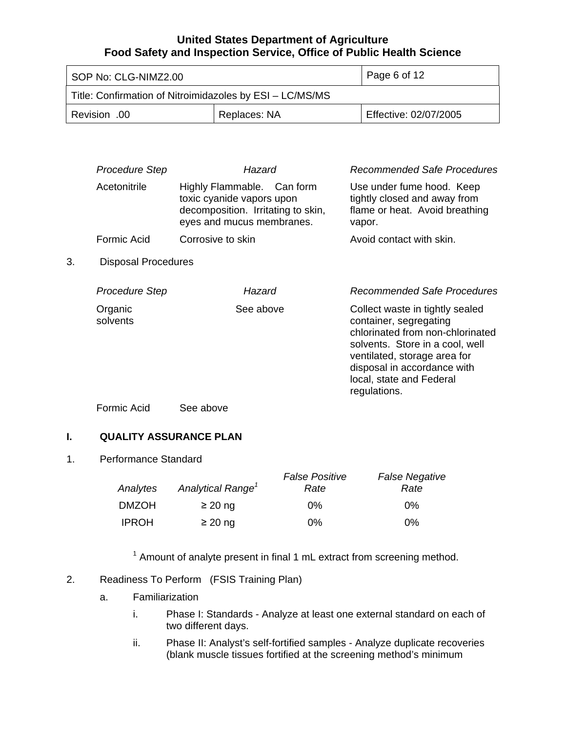<span id="page-5-0"></span>

| $\vert$ Page 6 of 12<br>SOP No: CLG-NIMZ2.00             |              |                       |
|----------------------------------------------------------|--------------|-----------------------|
| Title: Confirmation of Nitroimidazoles by ESI - LC/MS/MS |              |                       |
| 00. Revision                                             | Replaces: NA | Effective: 02/07/2005 |

|    | <b>Procedure Step</b>      | Hazard                                                                                                                     | Recommended Safe Procedures                                                                                                                                                                                                                 |
|----|----------------------------|----------------------------------------------------------------------------------------------------------------------------|---------------------------------------------------------------------------------------------------------------------------------------------------------------------------------------------------------------------------------------------|
|    | Acetonitrile               | Highly Flammable. Can form<br>toxic cyanide vapors upon<br>decomposition. Irritating to skin,<br>eyes and mucus membranes. | Use under fume hood. Keep<br>tightly closed and away from<br>flame or heat. Avoid breathing<br>vapor.                                                                                                                                       |
|    | Formic Acid                | Corrosive to skin                                                                                                          | Avoid contact with skin.                                                                                                                                                                                                                    |
| 3. | <b>Disposal Procedures</b> |                                                                                                                            |                                                                                                                                                                                                                                             |
|    | <b>Procedure Step</b>      | Hazard                                                                                                                     | Recommended Safe Procedures                                                                                                                                                                                                                 |
|    | Organic<br>solvents        | See above                                                                                                                  | Collect waste in tightly sealed<br>container, segregating<br>chlorinated from non-chlorinated<br>solvents. Store in a cool, well<br>ventilated, storage area for<br>disposal in accordance with<br>local, state and Federal<br>regulations. |
|    | Formic Acid                | See above                                                                                                                  |                                                                                                                                                                                                                                             |

## **I. QUALITY ASSURANCE PLAN**

#### 1. Performance Standard

|              |                               | <b>False Positive</b> | <b>False Negative</b> |
|--------------|-------------------------------|-----------------------|-----------------------|
| Analytes     | Analytical Range <sup>1</sup> | Rate                  | Rate                  |
| <b>DMZOH</b> | $\geq$ 20 ng                  | 0%                    | $0\%$                 |
| <b>IPROH</b> | $\geq$ 20 ng                  | $0\%$                 | $0\%$                 |

 $1$  Amount of analyte present in final 1 mL extract from screening method.

- 2. Readiness To Perform (FSIS Training Plan)
	- a. Familiarization
		- i. Phase I: Standards Analyze at least one external standard on each of two different days.
		- ii. Phase II: Analyst's self-fortified samples Analyze duplicate recoveries (blank muscle tissues fortified at the screening method's minimum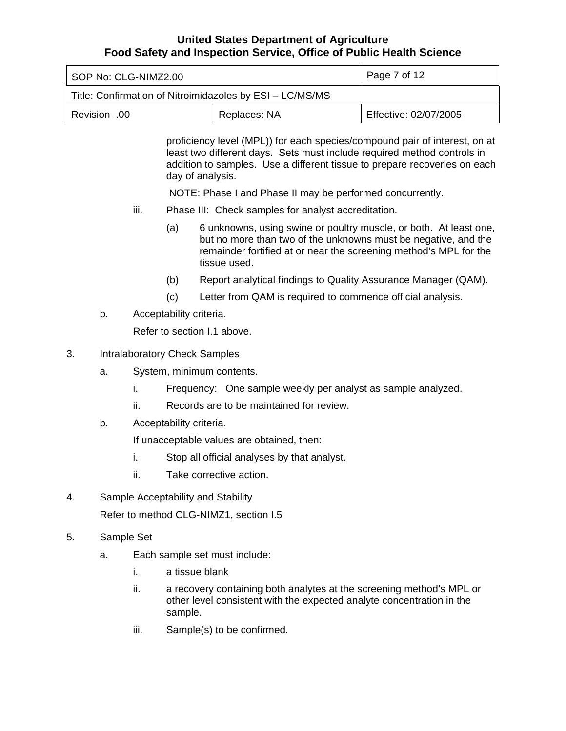| Page 7 of 12<br>SOP No: CLG-NIMZ2.00                     |              |                       |  |
|----------------------------------------------------------|--------------|-----------------------|--|
| Title: Confirmation of Nitroimidazoles by ESI - LC/MS/MS |              |                       |  |
| Revision .00                                             | Replaces: NA | Effective: 02/07/2005 |  |

proficiency level (MPL)) for each species/compound pair of interest, on at least two different days. Sets must include required method controls in addition to samples. Use a different tissue to prepare recoveries on each day of analysis.

NOTE: Phase I and Phase II may be performed concurrently.

- iii. Phase III: Check samples for analyst accreditation.
	- (a) 6 unknowns, using swine or poultry muscle, or both. At least one, but no more than two of the unknowns must be negative, and the remainder fortified at or near the screening method's MPL for the tissue used.
	- (b) Report analytical findings to Quality Assurance Manager (QAM).
	- (c) Letter from QAM is required to commence official analysis.
- b. Acceptability criteria.

Refer to section I.1 above.

- 3. Intralaboratory Check Samples
	- a. System, minimum contents.
		- i. Frequency: One sample weekly per analyst as sample analyzed.
		- ii. Records are to be maintained for review.
	- b. Acceptability criteria.

If unacceptable values are obtained, then:

- i. Stop all official analyses by that analyst.
- ii. Take corrective action.
- 4. Sample Acceptability and Stability Refer to method CLG-NIMZ1, section I.5
- 5. Sample Set
	- a. Each sample set must include:
		- i. a tissue blank
		- ii. a recovery containing both analytes at the screening method's MPL or other level consistent with the expected analyte concentration in the sample.
		- iii. Sample(s) to be confirmed.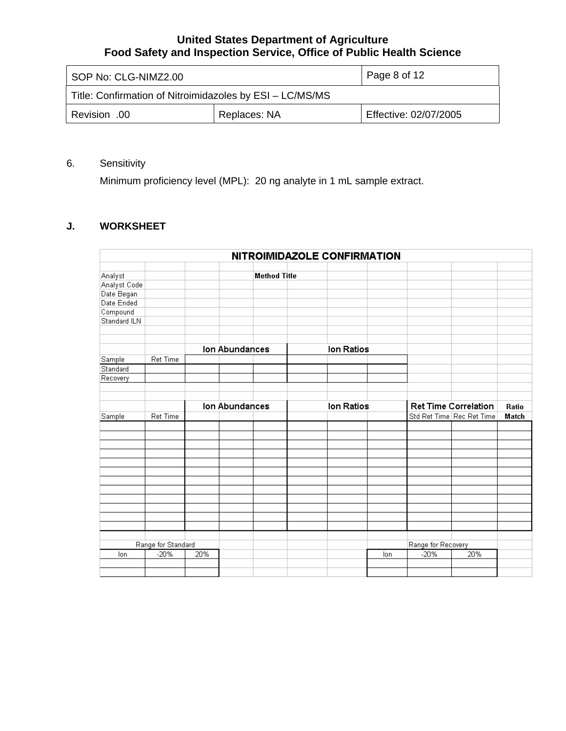<span id="page-7-0"></span>

| Page 8 of 12<br>SOP No: CLG-NIMZ2.00                     |              |                       |
|----------------------------------------------------------|--------------|-----------------------|
| Title: Confirmation of Nitroimidazoles by ESI - LC/MS/MS |              |                       |
| 00. Revision                                             | Replaces: NA | Effective: 02/07/2005 |

# 6. Sensitivity

Minimum proficiency level (MPL): 20 ng analyte in 1 mL sample extract.

# **J. WORKSHEET**

|              |                    |     |                |                     | NITROIMIDAZOLE CONFIRMATION |     |                    |                             |       |
|--------------|--------------------|-----|----------------|---------------------|-----------------------------|-----|--------------------|-----------------------------|-------|
|              |                    |     |                |                     |                             |     |                    |                             |       |
| Analyst      |                    |     |                | <b>Method Title</b> |                             |     |                    |                             |       |
| Analyst Code |                    |     |                |                     |                             |     |                    |                             |       |
| Date Began   |                    |     |                |                     |                             |     |                    |                             |       |
| Date Ended   |                    |     |                |                     |                             |     |                    |                             |       |
| Compound     |                    |     |                |                     |                             |     |                    |                             |       |
| Standard ILN |                    |     |                |                     |                             |     |                    |                             |       |
|              |                    |     |                |                     |                             |     |                    |                             |       |
|              |                    |     |                |                     |                             |     |                    |                             |       |
|              |                    |     | Ion Abundances |                     | Ion Ratios                  |     |                    |                             |       |
| Sample       | Ret Time           |     |                |                     |                             |     |                    |                             |       |
| Standard     |                    |     |                |                     |                             |     |                    |                             |       |
| Recovery     |                    |     |                |                     |                             |     |                    |                             |       |
|              |                    |     |                |                     |                             |     |                    |                             |       |
|              |                    |     |                |                     |                             |     |                    |                             |       |
|              |                    |     | Ion Abundances |                     | Ion Ratios                  |     |                    | <b>Ret Time Correlation</b> | Ratio |
| Sample       | Ret Time           |     |                |                     |                             |     |                    | Std Ret Time Rec Ret Time   | Match |
|              |                    |     |                |                     |                             |     |                    |                             |       |
|              |                    |     |                |                     |                             |     |                    |                             |       |
|              |                    |     |                |                     |                             |     |                    |                             |       |
|              |                    |     |                |                     |                             |     |                    |                             |       |
|              |                    |     |                |                     |                             |     |                    |                             |       |
|              |                    |     |                |                     |                             |     |                    |                             |       |
|              |                    |     |                |                     |                             |     |                    |                             |       |
|              |                    |     |                |                     |                             |     |                    |                             |       |
|              |                    |     |                |                     |                             |     |                    |                             |       |
|              |                    |     |                |                     |                             |     |                    |                             |       |
|              |                    |     |                |                     |                             |     |                    |                             |       |
|              |                    |     |                |                     |                             |     |                    |                             |       |
|              |                    |     |                |                     |                             |     |                    |                             |       |
|              |                    |     |                |                     |                             |     |                    |                             |       |
|              | Range for Standard |     |                |                     |                             |     | Range for Recovery |                             |       |
| lon          | $-20%$             | 20% |                |                     |                             | lon | $-20%$             | 20%                         |       |
|              |                    |     |                |                     |                             |     |                    |                             |       |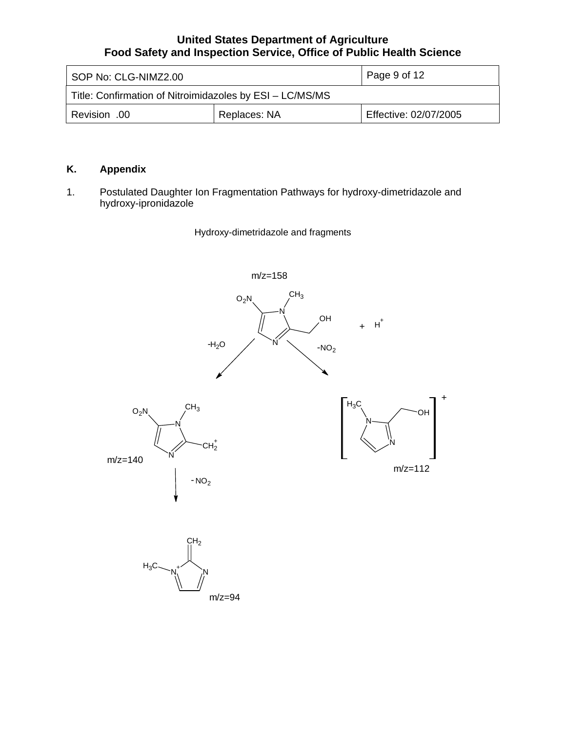<span id="page-8-0"></span>

| SOP No: CLG-NIMZ2.00                                     |              | Page 9 of 12          |
|----------------------------------------------------------|--------------|-----------------------|
| Title: Confirmation of Nitroimidazoles by ESI - LC/MS/MS |              |                       |
| Revision .00                                             | Replaces: NA | Effective: 02/07/2005 |

# **K. Appendix**

1. Postulated Daughter Ion Fragmentation Pathways for hydroxy-dimetridazole and hydroxy-ipronidazole

Hydroxy-dimetridazole and fragments

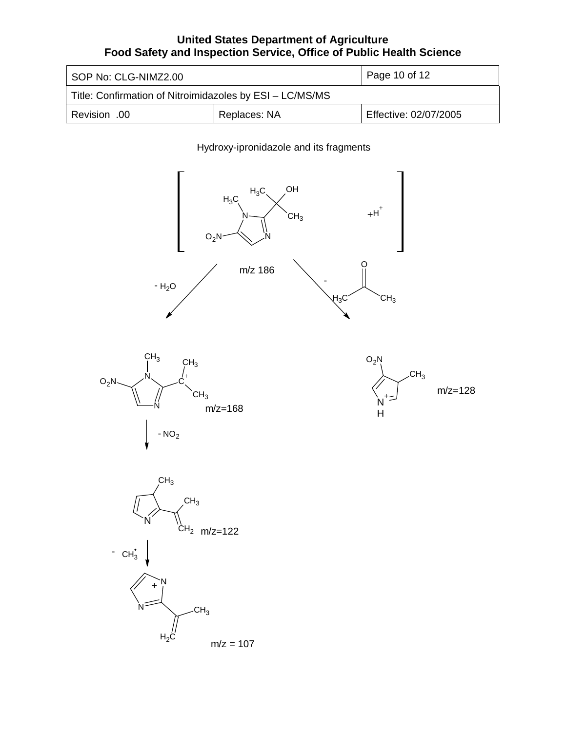| l SOP No: CLG-NIMZ2.00                                   |              | Page 10 of 12         |  |
|----------------------------------------------------------|--------------|-----------------------|--|
| Title: Confirmation of Nitroimidazoles by ESI - LC/MS/MS |              |                       |  |
| 00. Revision                                             | Replaces: NA | Effective: 02/07/2005 |  |

## Hydroxy-ipronidazole and its fragments

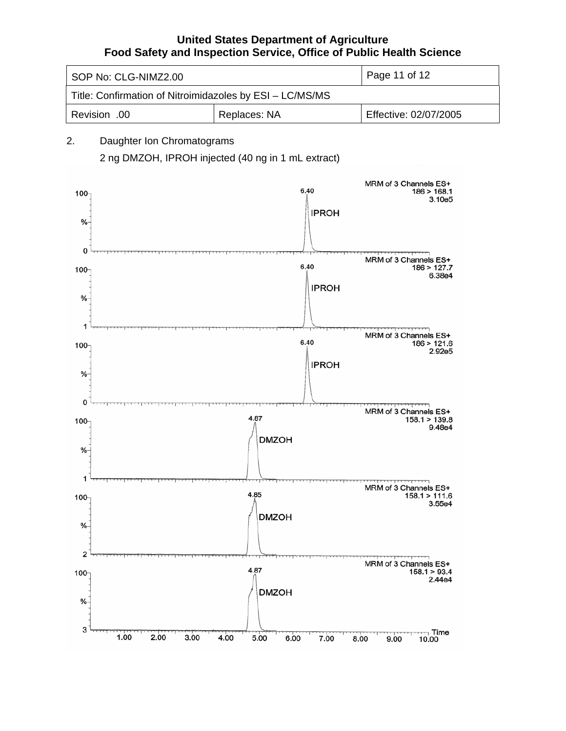| SOP No: CLG-NIMZ2.00                                     |              | Page 11 of 12         |  |  |
|----------------------------------------------------------|--------------|-----------------------|--|--|
| Title: Confirmation of Nitroimidazoles by ESI - LC/MS/MS |              |                       |  |  |
| Revision .00                                             | Replaces: NA | Effective: 02/07/2005 |  |  |

# 2. Daughter Ion Chromatograms 2 ng DMZOH, IPROH injected (40 ng in 1 mL extract)